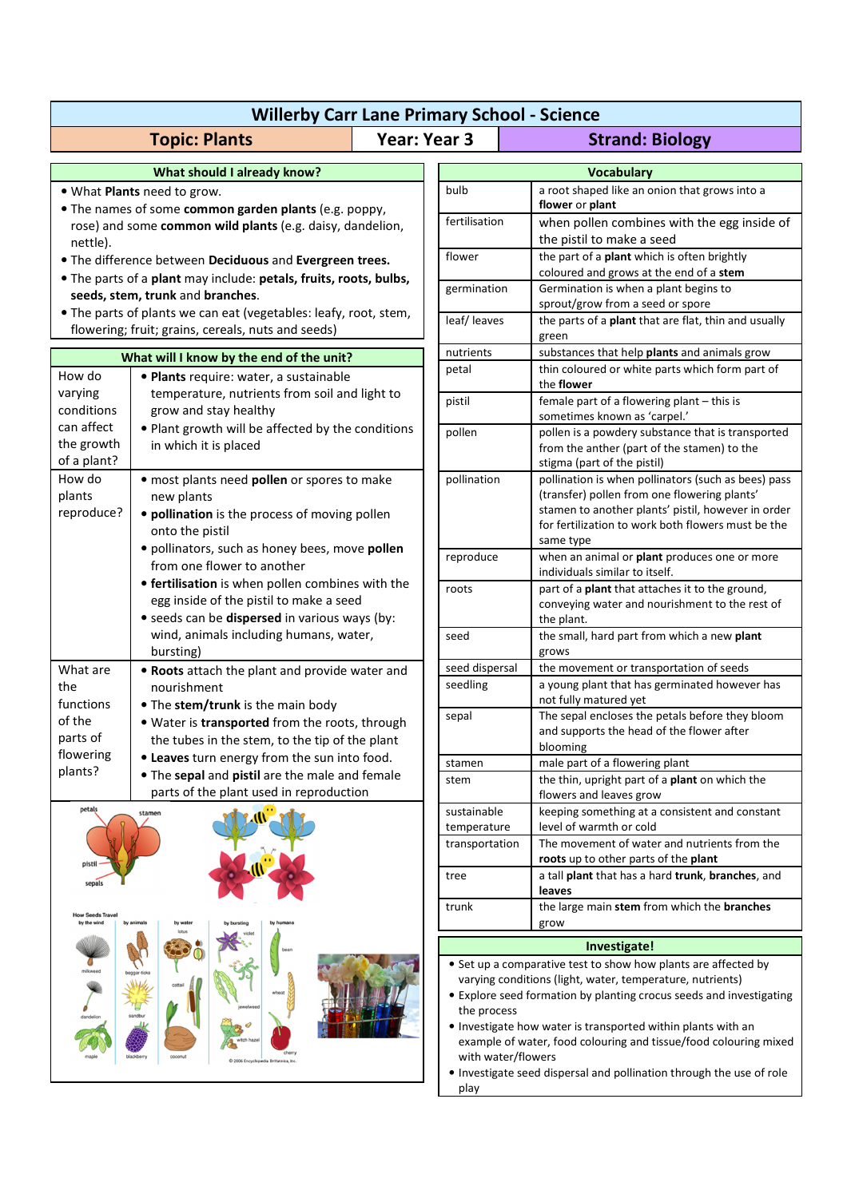| <b>Willerby Carr Lane Primary School - Science</b>                                  |                                                                                                |  |                                                                          |                                                                                                     |  |
|-------------------------------------------------------------------------------------|------------------------------------------------------------------------------------------------|--|--------------------------------------------------------------------------|-----------------------------------------------------------------------------------------------------|--|
| <b>Topic: Plants</b><br><b>Year: Year 3</b>                                         |                                                                                                |  | <b>Strand: Biology</b>                                                   |                                                                                                     |  |
| What should I already know?<br><b>Vocabulary</b>                                    |                                                                                                |  |                                                                          |                                                                                                     |  |
| . What Plants need to grow.                                                         |                                                                                                |  | bulb                                                                     | a root shaped like an onion that grows into a                                                       |  |
| • The names of some common garden plants (e.g. poppy,                               |                                                                                                |  | fertilisation                                                            | flower or plant                                                                                     |  |
| rose) and some common wild plants (e.g. daisy, dandelion,<br>nettle).               |                                                                                                |  | when pollen combines with the egg inside of<br>the pistil to make a seed |                                                                                                     |  |
| . The difference between Deciduous and Evergreen trees.                             |                                                                                                |  | flower                                                                   | the part of a plant which is often brightly                                                         |  |
| . The parts of a plant may include: petals, fruits, roots, bulbs,                   |                                                                                                |  |                                                                          | coloured and grows at the end of a stem                                                             |  |
| seeds, stem, trunk and branches.                                                    |                                                                                                |  | germination                                                              | Germination is when a plant begins to<br>sprout/grow from a seed or spore                           |  |
| . The parts of plants we can eat (vegetables: leafy, root, stem,                    |                                                                                                |  | leaf/leaves                                                              | the parts of a plant that are flat, thin and usually                                                |  |
| flowering; fruit; grains, cereals, nuts and seeds)                                  |                                                                                                |  |                                                                          | green                                                                                               |  |
| What will I know by the end of the unit?                                            |                                                                                                |  | nutrients<br>petal                                                       | substances that help plants and animals grow<br>thin coloured or white parts which form part of     |  |
| How do                                                                              | · Plants require: water, a sustainable                                                         |  |                                                                          | the flower                                                                                          |  |
| varying<br>conditions                                                               | temperature, nutrients from soil and light to<br>grow and stay healthy                         |  | pistil                                                                   | female part of a flowering plant - this is                                                          |  |
| can affect                                                                          | . Plant growth will be affected by the conditions                                              |  | pollen                                                                   | sometimes known as 'carpel.'<br>pollen is a powdery substance that is transported                   |  |
| the growth                                                                          | in which it is placed                                                                          |  |                                                                          | from the anther (part of the stamen) to the                                                         |  |
| of a plant?<br>How do                                                               |                                                                                                |  |                                                                          | stigma (part of the pistil)                                                                         |  |
| plants                                                                              | · most plants need pollen or spores to make<br>new plants                                      |  | pollination                                                              | pollination is when pollinators (such as bees) pass<br>(transfer) pollen from one flowering plants' |  |
| reproduce?                                                                          | • pollination is the process of moving pollen                                                  |  |                                                                          | stamen to another plants' pistil, however in order                                                  |  |
|                                                                                     | onto the pistil                                                                                |  |                                                                          | for fertilization to work both flowers must be the<br>same type                                     |  |
|                                                                                     | · pollinators, such as honey bees, move pollen                                                 |  | reproduce                                                                | when an animal or plant produces one or more                                                        |  |
|                                                                                     | from one flower to another<br>• fertilisation is when pollen combines with the                 |  |                                                                          | individuals similar to itself.                                                                      |  |
|                                                                                     | egg inside of the pistil to make a seed                                                        |  | roots                                                                    | part of a plant that attaches it to the ground,<br>conveying water and nourishment to the rest of   |  |
|                                                                                     | • seeds can be dispersed in various ways (by:                                                  |  |                                                                          | the plant.                                                                                          |  |
|                                                                                     | wind, animals including humans, water,                                                         |  | seed                                                                     | the small, hard part from which a new plant                                                         |  |
| What are                                                                            | bursting)<br>. Roots attach the plant and provide water and                                    |  | seed dispersal                                                           | grows<br>the movement or transportation of seeds                                                    |  |
| the                                                                                 | nourishment                                                                                    |  | seedling                                                                 | a young plant that has germinated however has                                                       |  |
| functions                                                                           | • The stem/trunk is the main body                                                              |  |                                                                          | not fully matured yet<br>The sepal encloses the petals before they bloom                            |  |
| of the<br>parts of                                                                  | . Water is transported from the roots, through                                                 |  | sepal                                                                    | and supports the head of the flower after                                                           |  |
| flowering                                                                           | the tubes in the stem, to the tip of the plant<br>. Leaves turn energy from the sun into food. |  |                                                                          | blooming                                                                                            |  |
| plants?                                                                             | . The sepal and pistil are the male and female                                                 |  | stamen                                                                   | male part of a flowering plant<br>the thin, upright part of a plant on which the                    |  |
|                                                                                     | parts of the plant used in reproduction                                                        |  | stem                                                                     | flowers and leaves grow                                                                             |  |
| petals<br>stamen                                                                    |                                                                                                |  | sustainable                                                              | keeping something at a consistent and constant                                                      |  |
|                                                                                     |                                                                                                |  | temperature<br>transportation                                            | level of warmth or cold<br>The movement of water and nutrients from the                             |  |
| pistil                                                                              |                                                                                                |  |                                                                          | roots up to other parts of the plant                                                                |  |
| sepals                                                                              |                                                                                                |  | tree                                                                     | a tall plant that has a hard trunk, branches, and                                                   |  |
|                                                                                     |                                                                                                |  | trunk                                                                    | leaves<br>the large main stem from which the branches                                               |  |
| <b>How Seeds Trave</b><br>sandbu<br>blackberr<br>© 2006 Encyclopadia Britannica, In |                                                                                                |  |                                                                          | grow                                                                                                |  |
|                                                                                     |                                                                                                |  |                                                                          | Investigate!                                                                                        |  |
|                                                                                     |                                                                                                |  | • Set up a comparative test to show how plants are affected by           |                                                                                                     |  |
|                                                                                     |                                                                                                |  |                                                                          | varying conditions (light, water, temperature, nutrients)                                           |  |
|                                                                                     |                                                                                                |  | the process                                                              | • Explore seed formation by planting crocus seeds and investigating                                 |  |
|                                                                                     |                                                                                                |  |                                                                          | • Investigate how water is transported within plants with an                                        |  |
|                                                                                     |                                                                                                |  |                                                                          | example of water, food colouring and tissue/food colouring mixed<br>with water/flowers              |  |
|                                                                                     |                                                                                                |  |                                                                          | . Investigate seed dispersal and pollination through the use of role                                |  |
| play                                                                                |                                                                                                |  |                                                                          |                                                                                                     |  |